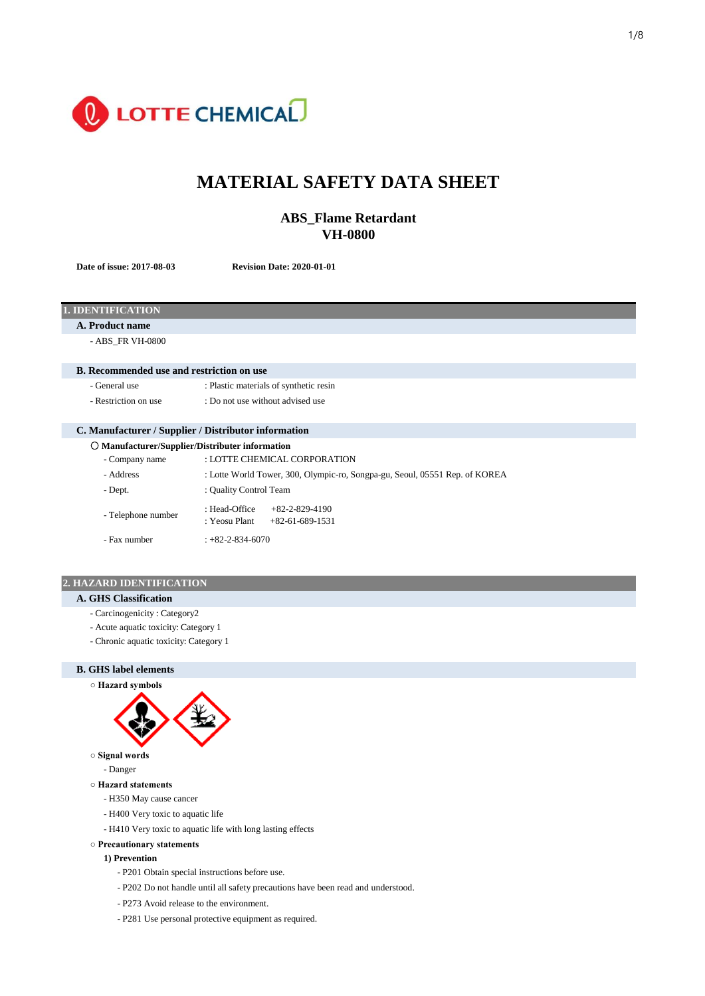

# **MATERIAL SAFETY DATA SHEET**

## **ABS\_Flame Retardant VH-0800**

**Date of issue: 2017-08-03 Revision Date: 2020-01-01**

## **1. IDENTIFICATION**

**A. Product name**

- ABS\_FR VH-0800

#### **B. Recommended use and restriction on use**

- General use : Plastic materials of synthetic resin
- 
- Restriction on use : Do not use without advised use

## **C. Manufacturer / Supplier / Distributor information**

| O Manufacturer/Supplier/Distributer information |                                                                             |  |  |  |
|-------------------------------------------------|-----------------------------------------------------------------------------|--|--|--|
| - Company name                                  | : LOTTE CHEMICAL CORPORATION                                                |  |  |  |
| - Address                                       | : Lotte World Tower, 300, Olympic-ro, Songpa-gu, Seoul, 05551 Rep. of KOREA |  |  |  |
| - Dept.                                         | : Quality Control Team                                                      |  |  |  |
| - Telephone number                              | : Head-Office<br>$+82-2-829-4190$<br>: Yeosu Plant<br>$+82-61-689-1531$     |  |  |  |
| - Fax number                                    | $+82-2-834-6070$                                                            |  |  |  |

## **2. HAZARD IDENTIFICATION**

## **A. GHS Classification**

- Carcinogenicity : Category2
- Acute aquatic toxicity: Category 1
- Chronic aquatic toxicity: Category 1

### **B. GHS label elements**





- **Signal words**
	- Danger
- **Hazard statements**
	- H350 May cause cancer
	- H400 Very toxic to aquatic life
	- H410 Very toxic to aquatic life with long lasting effects

#### **○ Precautionary statements**

#### **1) Prevention**

- P201 Obtain special instructions before use.
- P202 Do not handle until all safety precautions have been read and understood.
- P273 Avoid release to the environment.
- P281 Use personal protective equipment as required.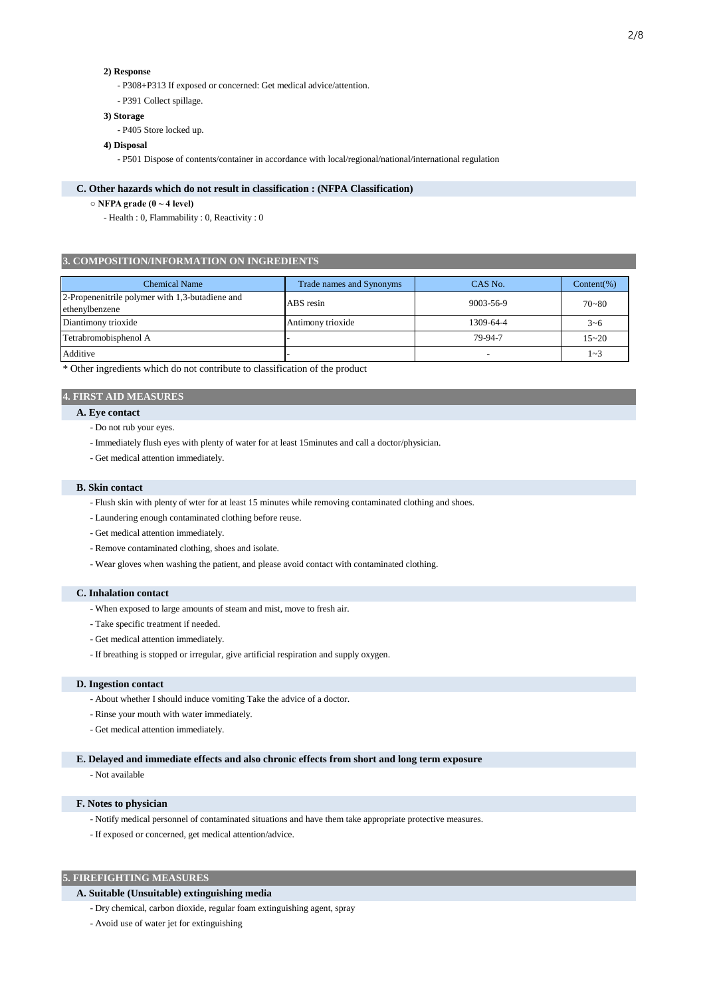## **2) Response**

- P308+P313 If exposed or concerned: Get medical advice/attention.
- P391 Collect spillage.

#### **3) Storage**

- P405 Store locked up.

#### **4) Disposal**

- P501 Dispose of contents/container in accordance with local/regional/national/international regulation

#### **C. Other hazards which do not result in classification : (NFPA Classification)**

- **NFPA grade (0 ~ 4 level)**
	- Health : 0, Flammability : 0, Reactivity : 0

#### **3. COMPOSITION/INFORMATION ON INGREDIENTS**

| <b>Chemical Name</b>                                              | Trade names and Synonyms | CAS No.   | $Content(\%)$ |
|-------------------------------------------------------------------|--------------------------|-----------|---------------|
| 2-Propenenitrile polymer with 1,3-butadiene and<br>ethenylbenzene | ABS resin                | 9003-56-9 | $70 - 80$     |
| Diantimony trioxide                                               | Antimony trioxide        | 1309-64-4 | $3 - 6$       |
| Tetrabromobisphenol A                                             |                          | 79-94-7   | $15 - 20$     |
| Additive                                                          |                          |           | $1 - 3$       |

\* Other ingredients which do not contribute to classification of the product

## **4. FIRST AID MEASURES**

## **A. Eye contact**

- Do not rub your eyes.
- Immediately flush eyes with plenty of water for at least 15minutes and call a doctor/physician.
- Get medical attention immediately.

#### **B. Skin contact**

- Flush skin with plenty of wter for at least 15 minutes while removing contaminated clothing and shoes.
- Laundering enough contaminated clothing before reuse.
- Get medical attention immediately.
- Remove contaminated clothing, shoes and isolate.
- Wear gloves when washing the patient, and please avoid contact with contaminated clothing.

#### **C. Inhalation contact**

- When exposed to large amounts of steam and mist, move to fresh air.
- Take specific treatment if needed.
- Get medical attention immediately.
- If breathing is stopped or irregular, give artificial respiration and supply oxygen.

#### **D. Ingestion contact**

- About whether I should induce vomiting Take the advice of a doctor.
- Rinse your mouth with water immediately.
- Get medical attention immediately.

### **E. Delayed and immediate effects and also chronic effects from short and long term exposure**

- Not available

## **F. Notes to physician**

- Notify medical personnel of contaminated situations and have them take appropriate protective measures.
- If exposed or concerned, get medical attention/advice.

## **5. FIREFIGHTING MEASURES**

## **A. Suitable (Unsuitable) extinguishing media**

- Dry chemical, carbon dioxide, regular foam extinguishing agent, spray
- Avoid use of water jet for extinguishing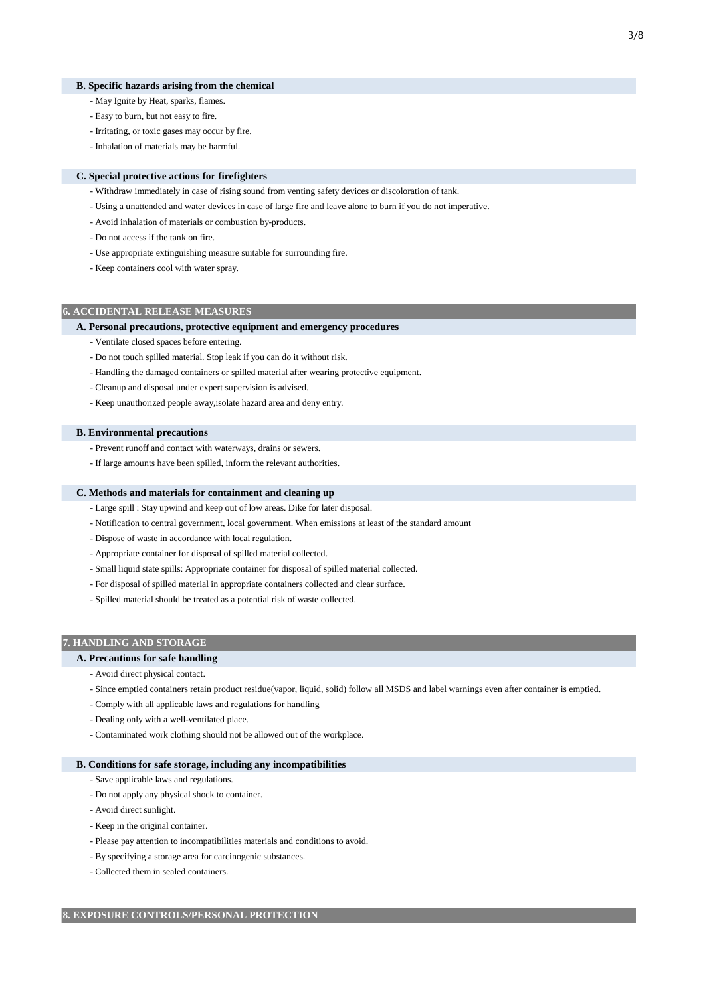#### **B. Specific hazards arising from the chemical**

- May Ignite by Heat, sparks, flames.
- Easy to burn, but not easy to fire.
- Irritating, or toxic gases may occur by fire.
- Inhalation of materials may be harmful.

## **C. Special protective actions for firefighters**

- Withdraw immediately in case of rising sound from venting safety devices or discoloration of tank.
- Using a unattended and water devices in case of large fire and leave alone to burn if you do not imperative.
- Avoid inhalation of materials or combustion by-products.
- Do not access if the tank on fire.
- Use appropriate extinguishing measure suitable for surrounding fire.
- Keep containers cool with water spray.

## **6. ACCIDENTAL RELEASE MEASURES**

#### **A. Personal precautions, protective equipment and emergency procedures**

- Ventilate closed spaces before entering.
- Do not touch spilled material. Stop leak if you can do it without risk.
- Handling the damaged containers or spilled material after wearing protective equipment.
- Cleanup and disposal under expert supervision is advised.
- Keep unauthorized people away,isolate hazard area and deny entry.

#### **B. Environmental precautions**

- Prevent runoff and contact with waterways, drains or sewers.
- If large amounts have been spilled, inform the relevant authorities.

## **C. Methods and materials for containment and cleaning up**

- Large spill : Stay upwind and keep out of low areas. Dike for later disposal.
- Notification to central government, local government. When emissions at least of the standard amount
- Dispose of waste in accordance with local regulation.
- Appropriate container for disposal of spilled material collected.
- Small liquid state spills: Appropriate container for disposal of spilled material collected.
- For disposal of spilled material in appropriate containers collected and clear surface.
- Spilled material should be treated as a potential risk of waste collected.

#### **7. HANDLING AND STORAGE**

## **A. Precautions for safe handling**

- Avoid direct physical contact.
- Since emptied containers retain product residue(vapor, liquid, solid) follow all MSDS and label warnings even after container is emptied.
- Comply with all applicable laws and regulations for handling
- Dealing only with a well-ventilated place.
- Contaminated work clothing should not be allowed out of the workplace.

#### **B. Conditions for safe storage, including any incompatibilities**

- Save applicable laws and regulations.
- Do not apply any physical shock to container.
- Avoid direct sunlight.
- Keep in the original container.
- Please pay attention to incompatibilities materials and conditions to avoid.
- By specifying a storage area for carcinogenic substances.
- Collected them in sealed containers.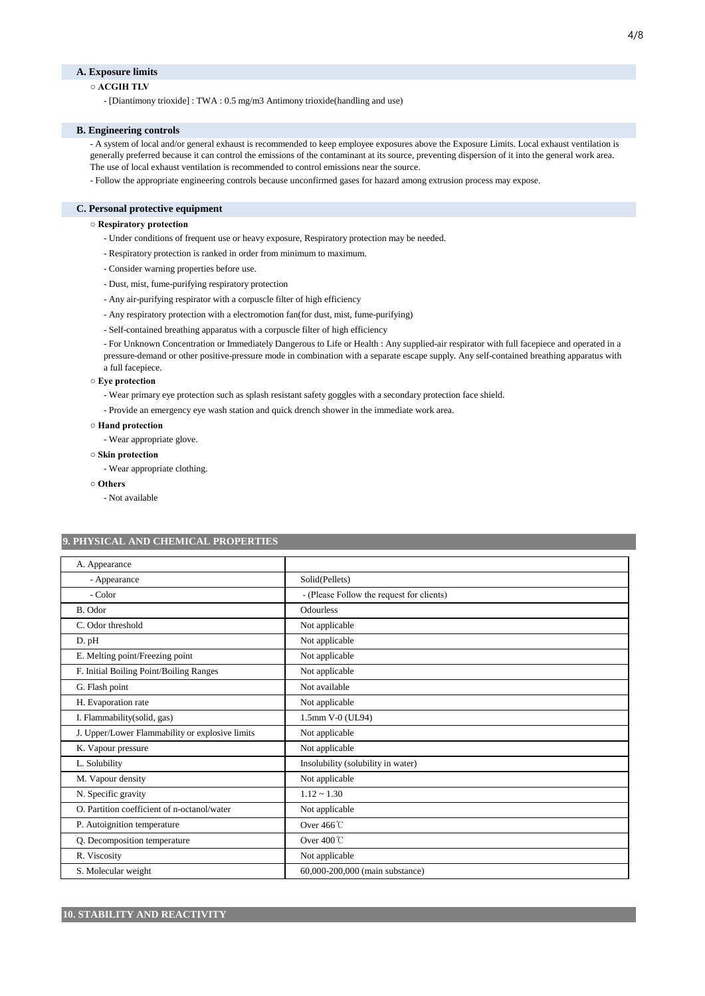### **A. Exposure limits**

## **○ ACGIH TLV**

- [Diantimony trioxide] : TWA : 0.5 mg/m3 Antimony trioxide(handling and use)

#### **B. Engineering controls**

- A system of local and/or general exhaust is recommended to keep employee exposures above the Exposure Limits. Local exhaust ventilation is generally preferred because it can control the emissions of the contaminant at its source, preventing dispersion of it into the general work area.

The use of local exhaust ventilation is recommended to control emissions near the source.

- Follow the appropriate engineering controls because unconfirmed gases for hazard among extrusion process may expose.

#### **C. Personal protective equipment**

#### **○ Respiratory protection**

- Under conditions of frequent use or heavy exposure, Respiratory protection may be needed.
- Respiratory protection is ranked in order from minimum to maximum.
- Consider warning properties before use.
- Dust, mist, fume-purifying respiratory protection
- Any air-purifying respirator with a corpuscle filter of high efficiency
- Any respiratory protection with a electromotion fan(for dust, mist, fume-purifying)
- Self-contained breathing apparatus with a corpuscle filter of high efficiency
- For Unknown Concentration or Immediately Dangerous to Life or Health : Any supplied-air respirator with full facepiece and operated in a

pressure-demand or other positive-pressure mode in combination with a separate escape supply. Any self-contained breathing apparatus with a full facepiece.

#### **○ Eye protection**

- Wear primary eye protection such as splash resistant safety goggles with a secondary protection face shield.
- Provide an emergency eye wash station and quick drench shower in the immediate work area.

#### **○ Hand protection**

- Wear appropriate glove.

**○ Skin protection**

- Wear appropriate clothing.

- **Others**
	- Not available

## **9. PHYSICAL AND CHEMICAL PROPERTIES**

| A. Appearance                                   |                                           |
|-------------------------------------------------|-------------------------------------------|
| - Appearance                                    | Solid(Pellets)                            |
| - Color                                         | - (Please Follow the request for clients) |
| B. Odor                                         | <b>Odourless</b>                          |
| C. Odor threshold                               | Not applicable                            |
| D. pH                                           | Not applicable                            |
| E. Melting point/Freezing point                 | Not applicable                            |
| F. Initial Boiling Point/Boiling Ranges         | Not applicable                            |
| G. Flash point                                  | Not available                             |
| H. Evaporation rate                             | Not applicable                            |
| I. Flammability(solid, gas)                     | 1.5mm V-0 (UL94)                          |
| J. Upper/Lower Flammability or explosive limits | Not applicable                            |
| K. Vapour pressure                              | Not applicable                            |
| L. Solubility                                   | Insolubility (solubility in water)        |
| M. Vapour density                               | Not applicable                            |
| N. Specific gravity                             | $1.12 \sim 1.30$                          |
| O. Partition coefficient of n-octanol/water     | Not applicable                            |
| P. Autoignition temperature                     | Over $466^{\circ}$ C                      |
| Q. Decomposition temperature                    | Over $400^{\circ}$ C                      |
| R. Viscosity                                    | Not applicable                            |
| S. Molecular weight                             | 60,000-200,000 (main substance)           |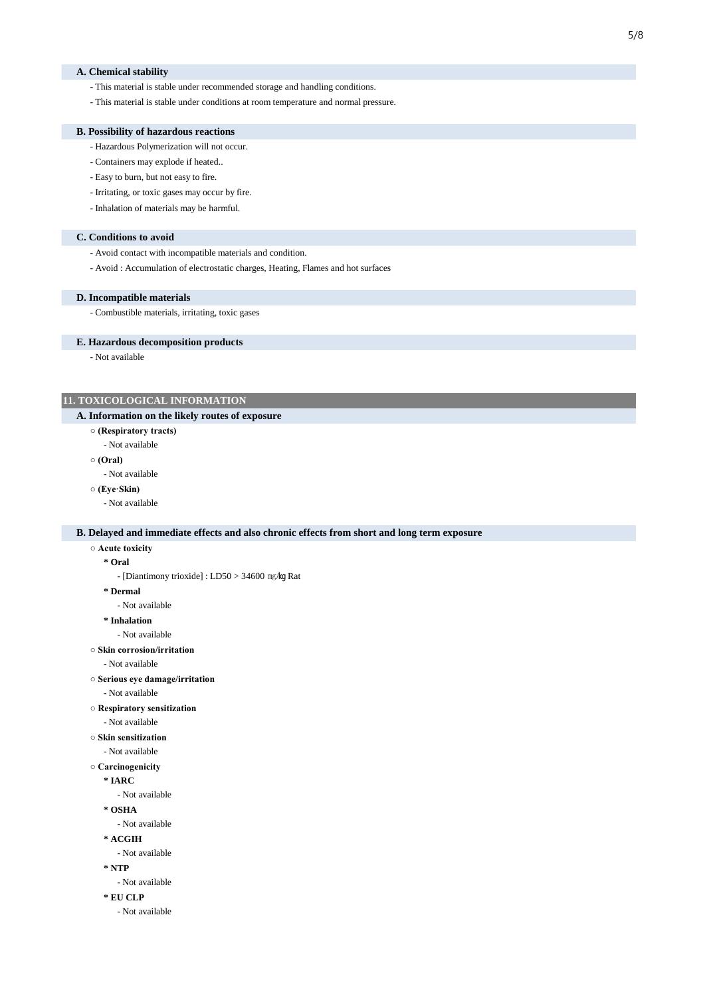#### **A. Chemical stability**

- This material is stable under recommended storage and handling conditions.
- This material is stable under conditions at room temperature and normal pressure.

#### **B. Possibility of hazardous reactions**

- Hazardous Polymerization will not occur.
- Containers may explode if heated..
- Easy to burn, but not easy to fire.
- Irritating, or toxic gases may occur by fire.
- Inhalation of materials may be harmful.

#### **C. Conditions to avoid**

- Avoid contact with incompatible materials and condition.
- Avoid : Accumulation of electrostatic charges, Heating, Flames and hot surfaces

#### **D. Incompatible materials**

- Combustible materials, irritating, toxic gases

## **E. Hazardous decomposition products**

- Not available

## **11. TOXICOLOGICAL INFORMATION**

## **A. Information on the likely routes of exposure**

- **(Respiratory tracts)**
	- Not available
- **(Oral)**
- Not available
- **(Eye·Skin)**
	- Not available

## **B. Delayed and immediate effects and also chronic effects from short and long term exposure**

- **Acute toxicity**
	- **\* Oral**

- [Diantimony trioxide] : LD50 > 34600 ㎎/㎏ Rat

**\* Dermal**

- Not available

- **\* Inhalation**
	- Not available
- **Skin corrosion/irritation**
	- Not available
- **Serious eye damage/irritation**
	- Not available
- **Respiratory sensitization**
	- Not available
- **Skin sensitization**
	- Not available

```
○ Carcinogenicity
```
**\* IARC**

- Not available

- **\* OSHA**
	- Not available
- **\* ACGIH**
- Not available
- **\* NTP**
	- Not available
- **\* EU CLP**
	- Not available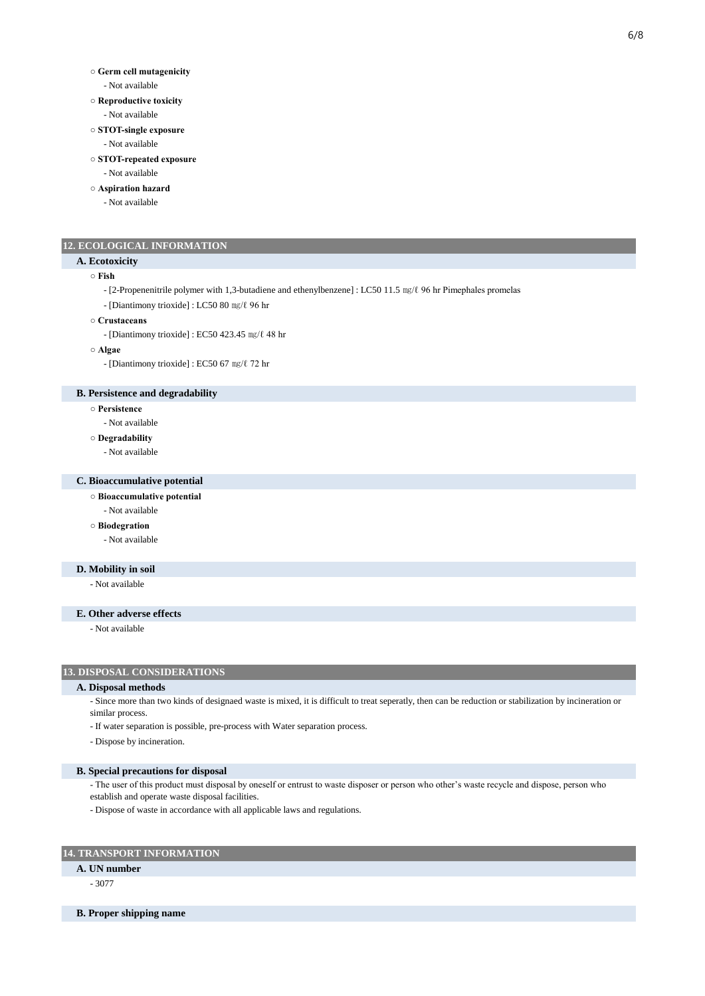#### **○ Germ cell mutagenicity**

- Not available
- **Reproductive toxicity**
	- Not available
- **STOT-single exposure**
	- Not available
- **STOT-repeated exposure**
	- Not available
- **Aspiration hazard**
	- Not available

## **12. ECOLOGICAL INFORMATION**

#### **A. Ecotoxicity**

**○ Fish**

- [2-Propenenitrile polymer with 1,3-butadiene and ethenylbenzene] : LC50 11.5 ㎎/ℓ 96 hr Pimephales promelas
- [Diantimony trioxide] : LC50 80 ㎎/ℓ 96 hr
- **Crustaceans**
	- [Diantimony trioxide] : EC50 423.45 ㎎/ℓ 48 hr
- **Algae**
	- [Diantimony trioxide] : EC50 67 ㎎/ℓ 72 hr

## **B. Persistence and degradability**

- **Persistence**
	- Not available

#### **○ Degradability**

- Not available

### **C. Bioaccumulative potential**

- **Bioaccumulative potential**
- Not available
- **Biodegration**
	- Not available

## **D. Mobility in soil**

- Not available

### **E. Other adverse effects**

- Not available

## **13. DISPOSAL CONSIDERATIONS**

#### **A. Disposal methods**

- Since more than two kinds of designaed waste is mixed, it is difficult to treat seperatly, then can be reduction or stabilization by incineration or similar process.
- If water separation is possible, pre-process with Water separation process.
- Dispose by incineration.

### **B. Special precautions for disposal**

- The user of this product must disposal by oneself or entrust to waste disposer or person who other's waste recycle and dispose, person who establish and operate waste disposal facilities.
- Dispose of waste in accordance with all applicable laws and regulations.

## **14. TRANSPORT INFORMATION**

## **A. UN number**

- 3077

**B. Proper shipping name**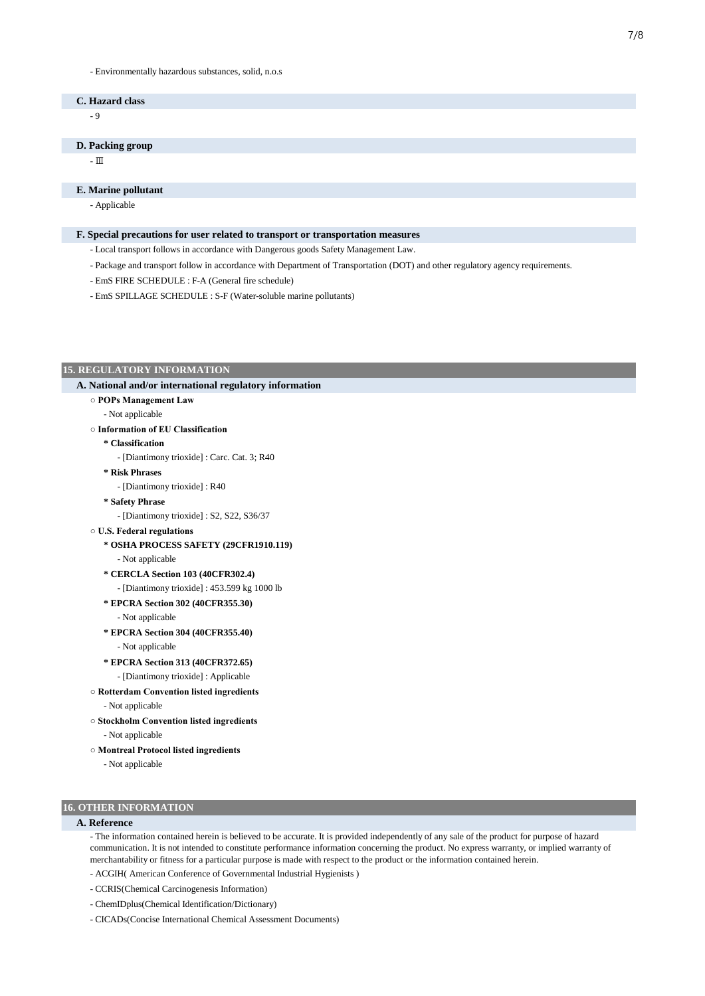#### - Environmentally hazardous substances, solid, n.o.s

## **C. Hazard class**

 $^{\circ}$ 

#### **D. Packing group**

- Ⅲ

#### **E. Marine pollutant**

- Applicable

#### **F. Special precautions for user related to transport or transportation measures**

- Local transport follows in accordance with Dangerous goods Safety Management Law.
- Package and transport follow in accordance with Department of Transportation (DOT) and other regulatory agency requirements.
- EmS FIRE SCHEDULE : F-A (General fire schedule)
- EmS SPILLAGE SCHEDULE : S-F (Water-soluble marine pollutants)

#### **15. REGULATORY INFORMATION**

## **○ POPs Management Law A. National and/or international regulatory information**

- Not applicable

### **○ Information of EU Classification**

- **\* Classification**
	- [Diantimony trioxide] : Carc. Cat. 3; R40
- **\* Risk Phrases**

- [Diantimony trioxide] : R40

- **\* Safety Phrase**
	- [Diantimony trioxide] : S2, S22, S36/37
- **U.S. Federal regulations**
	- **\* OSHA PROCESS SAFETY (29CFR1910.119)**
		- Not applicable

## **\* CERCLA Section 103 (40CFR302.4)**

- [Diantimony trioxide] : 453.599 kg 1000 lb
- **\* EPCRA Section 302 (40CFR355.30)**
	- Not applicable
- **\* EPCRA Section 304 (40CFR355.40)**
	- Not applicable
- **\* EPCRA Section 313 (40CFR372.65)**
	- [Diantimony trioxide] : Applicable
- **Rotterdam Convention listed ingredients** - Not applicable
- **Stockholm Convention listed ingredients**
	- Not applicable
- **Montreal Protocol listed ingredients**
	- Not applicable

## **16. OTHER INFORMATION**

## **A. Reference**

- The information contained herein is believed to be accurate. It is provided independently of any sale of the product for purpose of hazard communication. It is not intended to constitute performance information concerning the product. No express warranty, or implied warranty of merchantability or fitness for a particular purpose is made with respect to the product or the information contained herein.

- ACGIH( American Conference of Governmental Industrial Hygienists )
- CCRIS(Chemical Carcinogenesis Information)
- ChemIDplus(Chemical Identification/Dictionary)
- CICADs(Concise International Chemical Assessment Documents)